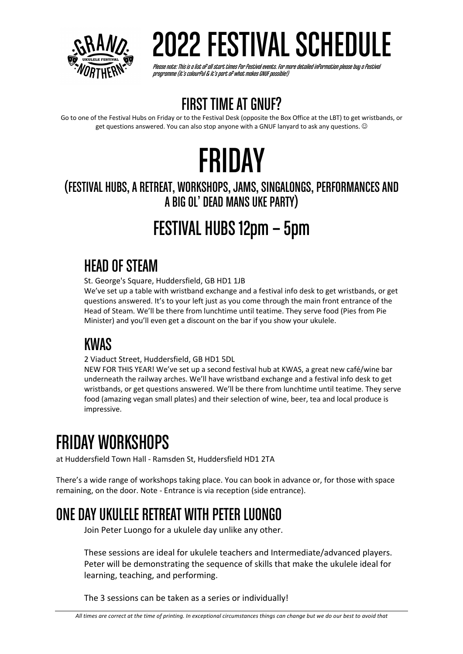

Please note: This is a list of all start times for festival events. For more detailed information please buy a festival<br>programme (it's colourful & it's part of what makes GNUF possible!)

## **FIRST TIME AT GNUF?**

Go to one of the Festival Hubs on Friday or to the Festival Desk (opposite the Box Office at the LBT) to get wristbands, or get questions answered. You can also stop anyone with a GNUF lanyard to ask any questions.  $\odot$ 

# FRIDAY

### (FESTIVAL HUBS, A RETREAT, WORKSHOPS, JAMS, SINGALONGS, PERFORMANCES AND A BIG OL' DEAD MANS UKE PARTY)

## FESTIVAL HUBS 12pm – 5pm

## HEAD OF STEAM

St. George's Square, Huddersfield, GB HD1 1JB

We've set up a table with wristband exchange and a festival info desk to get wristbands, or get questions answered. It's to your left just as you come through the main front entrance of the Head of Steam. We'll be there from lunchtime until teatime. They serve food (Pies from Pie Minister) and you'll even get a discount on the bar if you show your ukulele.

## KWAS

2 Viaduct Street, Huddersfield, GB HD1 5DL

NEW FOR THIS YEAR! We've set up a second festival hub at KWAS, a great new café/wine bar underneath the railway arches. We'll have wristband exchange and a festival info desk to get wristbands, or get questions answered. We'll be there from lunchtime until teatime. They serve food (amazing vegan small plates) and their selection of wine, beer, tea and local produce is impressive.

## FRIDAY WORKSHOPS

at Huddersfield Town Hall - Ramsden St, Huddersfield HD1 2TA

There's a wide range of workshops taking place. You can book in advance or, for those with space remaining, on the door. Note - Entrance is via reception (side entrance).

## ONE DAY UKULELE RETREAT WITH PETER LUONGO

Join Peter Luongo for a ukulele day unlike any other.

These sessions are ideal for ukulele teachers and Intermediate/advanced players. Peter will be demonstrating the sequence of skills that make the ukulele ideal for learning, teaching, and performing.

The 3 sessions can be taken as a series or individually!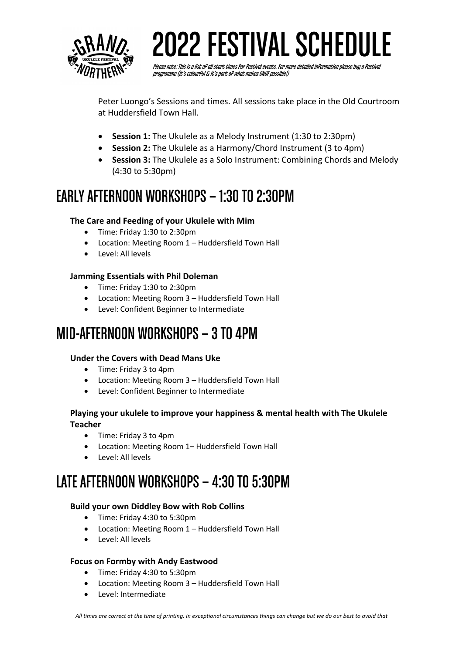

Please note: This is a list of all start times for festival events. For more detailed information please buy a festival<br>programme (it's colourful & it's part of what makes GNUF possible!)

Peter Luongo's Sessions and times. All sessions take place in the Old Courtroom at Huddersfield Town Hall.

- **Session 1:** The Ukulele as a Melody Instrument (1:30 to 2:30pm)
- **Session 2:** The Ukulele as a Harmony/Chord Instrument (3 to 4pm)
- **Session 3:** The Ukulele as a Solo Instrument: Combining Chords and Melody (4:30 to 5:30pm)

### EARLY AFTERNOON WORKSHOPS –1:30 TO 2:30PM

#### **The Care and Feeding of your Ukulele with Mim**

- Time: Friday 1:30 to 2:30pm
- Location: Meeting Room 1 Huddersfield Town Hall
- Level: All levels

#### **Jamming Essentials with Phil Doleman**

- Time: Friday 1:30 to 2:30pm
- Location: Meeting Room 3 Huddersfield Town Hall
- Level: Confident Beginner to Intermediate

### MID-AFTERNOON WORKSHOPS –3 TO 4PM

#### **Under the Covers with Dead Mans Uke**

- Time: Friday 3 to 4pm
- Location: Meeting Room 3 Huddersfield Town Hall
- Level: Confident Beginner to Intermediate

#### **Playing your ukulele to improve your happiness & mental health with The Ukulele Teacher**

- Time: Friday 3 to 4pm
- Location: Meeting Room 1– Huddersfield Town Hall
- Level: All levels

## LATE AFTERNOON WORKSHOPS –4:30 TO 5:30PM

#### **Build your own Diddley Bow with Rob Collins**

- Time: Friday 4:30 to 5:30pm
- Location: Meeting Room 1 Huddersfield Town Hall
- Level: All levels

#### **Focus on Formby with Andy Eastwood**

- Time: Friday 4:30 to 5:30pm
- Location: Meeting Room 3 Huddersfield Town Hall
- Level: Intermediate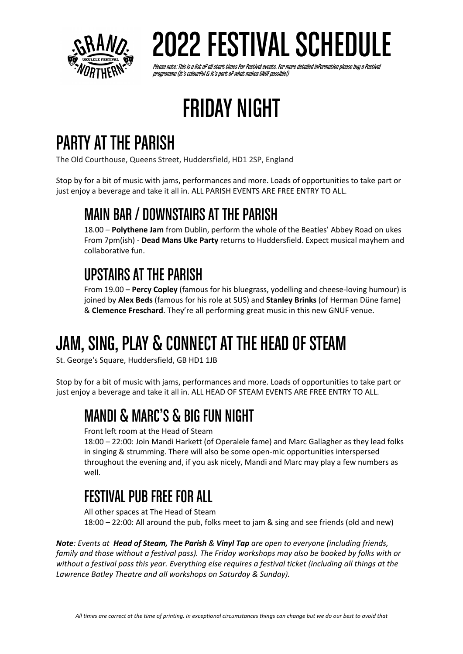

Please note: This is a list of all start times for festival events. For more detailed information please buy a festival<br>programme (it's colourful & it's part of what makes GNUF possible!)

# FRIDAY NIGHT

## PARTY AT THE PARISH

The Old Courthouse, Queens Street, Huddersfield, HD1 2SP, England

Stop by for a bit of music with jams, performances and more. Loads of opportunities to take part or just enjoy a beverage and take it all in. ALL PARISH EVENTS ARE FREE ENTRY TO ALL.

## MAIN BAR / DOWNSTAIRS AT THE PARISH

18.00 – **Polythene Jam** from Dublin, perform the whole of the Beatles' Abbey Road on ukes From 7pm(ish) - **Dead Mans Uke Party** returns to Huddersfield. Expect musical mayhem and collaborative fun.

## UPSTAIRSAT THE PARISH

From 19.00 – **Percy Copley** (famous for his bluegrass, yodelling and cheese-loving humour) is joined by **Alex Beds** (famous for his role at SUS) and **Stanley Brinks** (of Herman Düne fame) & **Clemence Freschard**. They're all performing great music in this new GNUF venue.

# JAM, SING, PLAY & CONNECT AT THE HEAD OF STEAM

St. George's Square, Huddersfield, GB HD1 1JB

Stop by for a bit of music with jams, performances and more. Loads of opportunities to take part or just enjoy a beverage and take it all in. ALL HEAD OF STEAM EVENTS ARE FREE ENTRY TO ALL.

## MANDI & MARC'S & BIG FUN NIGHT

Front left room at the Head of Steam

18:00 – 22:00: Join Mandi Harkett (of Operalele fame) and Marc Gallagher as they lead folks in singing & strumming. There will also be some open-mic opportunities interspersed throughout the evening and, if you ask nicely, Mandi and Marc may play a few numbers as well.

## FESTIVAL PUB FREE FOR ALL

All other spaces at The Head of Steam 18:00 – 22:00: All around the pub, folks meet to jam & sing and see friends (old and new)

*Note: Events at Head of Steam, The Parish & Vinyl Tap are open to everyone (including friends, family and those without a festival pass). The Friday workshops may also be booked by folks with or without a festival pass this year. Everything else requires a festival ticket (including all things at the Lawrence Batley Theatre and all workshops on Saturday & Sunday).*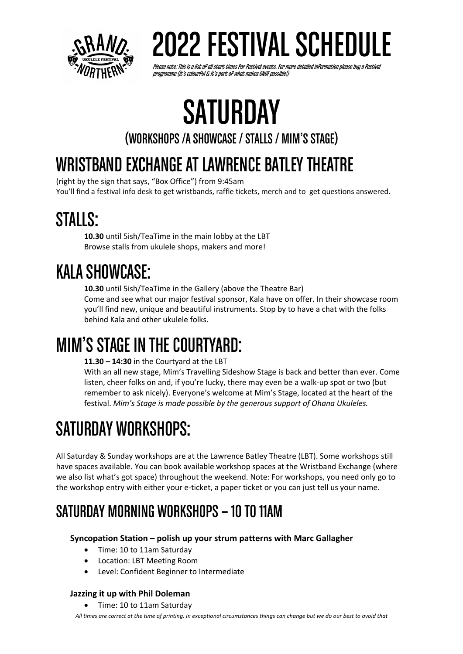

Please note: This is a list of all start times for festival events. For more detailed information please buy a festival<br>programme (it's colourful & it's part of what makes GNUF possible!)

# **SATURDAY**

(WORKSHOPS /A SHOWCASE / STALLS / MIM'S STAGE)

## WRISTBAND EXCHANGE AT LAWRENCE BATLEY THEATRE

(right by the sign that says, "Box Office") from 9:45am You'll find a festival info desk to get wristbands, raffle tickets, merch and to get questions answered.

## STALLS:

**10.30** until 5ish/TeaTime in the main lobby at the LBT Browse stalls from ukulele shops, makers and more!

## KALA SHOWCASE:

**10.30** until 5ish/TeaTime in the Gallery (above the Theatre Bar) Come and see what our major festival sponsor, Kala have on offer. In their showcase room you'll find new, unique and beautiful instruments. Stop by to have a chat with the folks behind Kala and other ukulele folks.

## MIM'S STAGE IN THE COURTYARD:

**11.30 – 14:30** in the Courtyard at the LBT

With an all new stage, Mim's Travelling Sideshow Stage is back and better than ever. Come listen, cheer folks on and, if you're lucky, there may even be a walk-up spot or two (but remember to ask nicely). Everyone's welcome at Mim's Stage, located at the heart of the festival. *Mim's Stage is made possible by the generous support of Ohana Ukuleles.*

# SATURDAY WORKSHOPS:

All Saturday & Sunday workshops are at the Lawrence Batley Theatre (LBT). Some workshops still have spaces available. You can book available workshop spaces at the Wristband Exchange (where we also list what's got space) throughout the weekend. Note: For workshops, you need only go to the workshop entry with either your e-ticket, a paper ticket or you can just tell us your name.

## SATURDAY MORNING WORKSHOPS –10 TO 11AM

### **Syncopation Station – polish up your strum patterns with Marc Gallagher**

- Time: 10 to 11am Saturday
- Location: LBT Meeting Room
- Level: Confident Beginner to Intermediate

### **Jazzing it up with Phil Doleman**

• Time: 10 to 11am Saturday

*All times are correct at the time of printing. In exceptional circumstances things can change but we do our best to avoid that*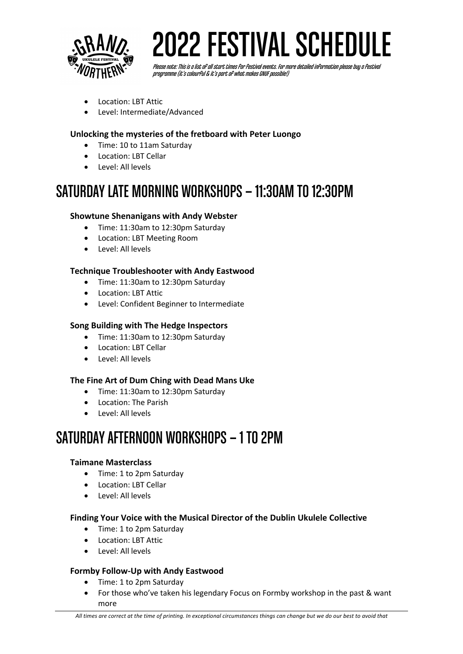

# 2 2022 FESTIVAL SCHEDULE

Please note: This is a list of all start times for festival events. For more detailed information please buy a festival<br>programme (it's colourful & it's part of what makes GNUF possible!)

- Location: LBT Attic
- Level: Intermediate/Advanced

#### **Unlocking the mysteries of the fretboard with Peter Luongo**

- Time: 10 to 11am Saturday
- Location: LBT Cellar
- Level: All levels

### SATURDAY LATE MORNING WORKSHOPS –11:30AM TO 12:30PM

#### **Showtune Shenanigans with Andy Webster**

- Time: 11:30am to 12:30pm Saturday
- Location: LBT Meeting Room
- Level: All levels

#### **Technique Troubleshooter with Andy Eastwood**

- Time: 11:30am to 12:30pm Saturday
- Location: LBT Attic
- Level: Confident Beginner to Intermediate

#### **Song Building with The Hedge Inspectors**

- Time: 11:30am to 12:30pm Saturday
- Location: LBT Cellar
- Level: All levels

#### **The Fine Art of Dum Ching with Dead Mans Uke**

- Time: 11:30am to 12:30pm Saturday
- Location: The Parish
- Level: All levels

### SATURDAY AFTERNOON WORKSHOPS –1 TO 2PM

#### **Taimane Masterclass**

- Time: 1 to 2pm Saturday
- Location: LBT Cellar
- Level: All levels

#### **Finding Your Voice with the Musical Director of the Dublin Ukulele Collective**

- Time: 1 to 2pm Saturday
- Location: LBT Attic
- Level: All levels

#### **Formby Follow-Up with Andy Eastwood**

- Time: 1 to 2pm Saturday
- For those who've taken his legendary Focus on Formby workshop in the past & want more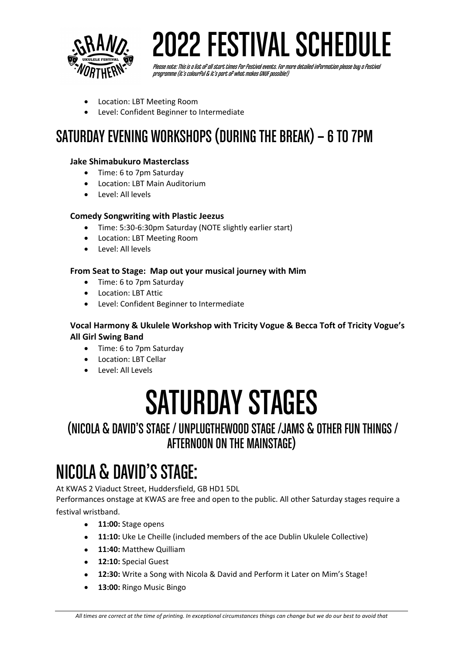

Please note: This is a list of all start times for festival events. For more detailed information please buy a festival<br>programme (it's colourful & it's part of what makes GNUF possible!)

- Location: LBT Meeting Room
- Level: Confident Beginner to Intermediate

## SATURDAY EVENING WORKSHOPS (DURING THE BREAK) –6 TO 7PM

#### **Jake Shimabukuro Masterclass**

- Time: 6 to 7pm Saturday
- Location: LBT Main Auditorium
- Level: All levels

#### **Comedy Songwriting with Plastic Jeezus**

- Time: 5:30-6:30pm Saturday (NOTE slightly earlier start)
- Location: LBT Meeting Room
- Level: All levels

#### **From Seat to Stage: Map out your musical journey with Mim**

- Time: 6 to 7pm Saturday
- Location: LBT Attic
- Level: Confident Beginner to Intermediate

#### **Vocal Harmony & Ukulele Workshop with Tricity Vogue & Becca Toft of Tricity Vogue's All Girl Swing Band**

- Time: 6 to 7pm Saturday
- Location: LBT Cellar
- Level: All Levels

# SATURDAY STAGES

### (NICOLA & DAVID'SSTAGE / UNPLUGTHEWOOD STAGE /JAMS & OTHER FUN THINGS / AFTERNOON ON THE MAINSTAGE)

## NICOLA & DAVID'S STAGE:

At KWAS 2 Viaduct Street, Huddersfield, GB HD1 5DL

Performances onstage at KWAS are free and open to the public. All other Saturday stages require a festival wristband.

- **11:00:** Stage opens
- **11:10:** Uke Le Cheille (included members of the ace Dublin Ukulele Collective)
- **11:40:** Matthew Quilliam
- **12:10:** Special Guest
- **12:30:** Write a Song with Nicola & David and Perform it Later on Mim's Stage!
- **13:00:** Ringo Music Bingo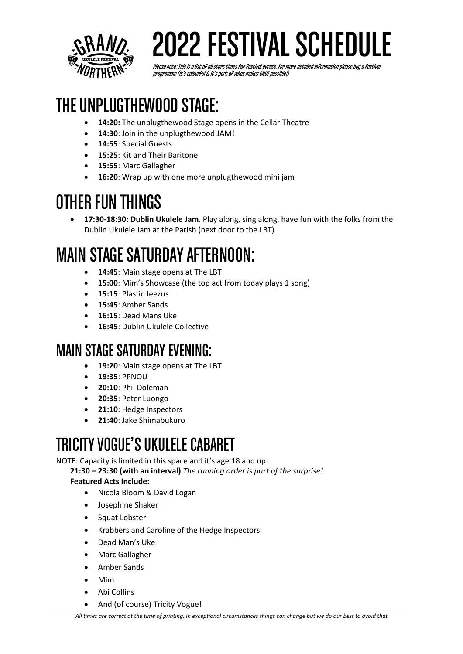

# *VQ* 2022 FESTIVAL SCHEDULE

Please note: This is a list of all start times for festival events. For more detailed information please buy a festival<br>programme (it's colourful & it's part of what makes GNUF possible!)

## THE UNPLUGTHEWOOD STAGE:

- 14:20: The unplugthewood Stage opens in the Cellar Theatre
- **14:30**: Join in the unplugthewood JAM!
- **14:55**: Special Guests
- **15:25**: Kit and Their Baritone
- **15:55**: Marc Gallagher
- **16:20**: Wrap up with one more unplugthewood mini jam

## OTHER FUN THINGS

• **17:30-18:30: Dublin Ukulele Jam**. Play along, sing along, have fun with the folks from the Dublin Ukulele Jam at the Parish (next door to the LBT)

## MAIN STAGE SATURDAY AFTERNOON:

- 14:45: Main stage opens at The LBT
- **15:00**: Mim's Showcase (the top act from today plays 1 song)
- **15:15**: Plastic Jeezus
- **15:45**: Amber Sands
- **16:15**: Dead Mans Uke
- **16:45**: Dublin Ukulele Collective

## MAIN STAGE SATURDAY EVENING:

- **19:20**: Main stage opens at The LBT
- **19:35**: PPNOU
- **20:10**: Phil Doleman
- **20:35**: Peter Luongo
- **21:10**: Hedge Inspectors
- **21:40**: Jake Shimabukuro

## TRICITY VOGUE'S UKULELE CABARET

NOTE: Capacity is limited in this space and it's age 18 and up.

**21:30 – 23:30 (with an interval)** *The running order is part of the surprise!*

#### **Featured Acts Include:**

- Nicola Bloom & David Logan
- Josephine Shaker
- Squat Lobster
- Krabbers and Caroline of the Hedge Inspectors
- Dead Man's Uke
- Marc Gallagher
- Amber Sands
- Mim
- Abi Collins
- And (of course) Tricity Vogue!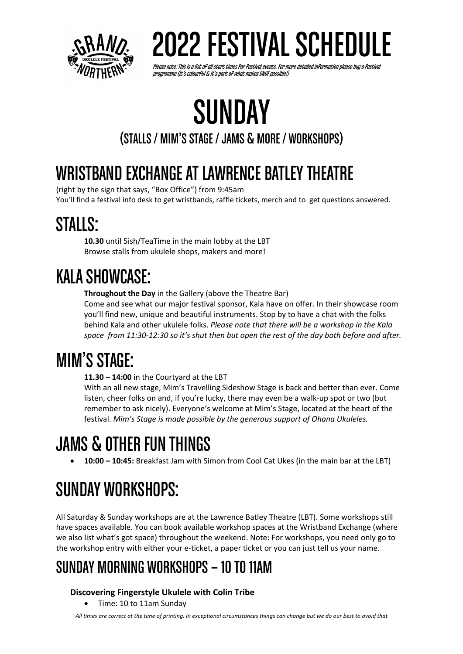

Please note: This is a list of all start times for festival events. For more detailed information please buy a festival<br>programme (it's colourful & it's part of what makes GNUF possible!)

# SUNDAY

### (STALLS / MIM'S STAGE / JAMS & MORE / WORKSHOPS)

## WRISTBAND EXCHANGE AT LAWRENCE BATLEY THEATRE

(right by the sign that says, "Box Office") from 9:45am You'll find a festival info desk to get wristbands, raffle tickets, merch and to get questions answered.

## STALLS:

**10.30** until 5ish/TeaTime in the main lobby at the LBT Browse stalls from ukulele shops, makers and more!

## KALA SHOWCASE:

**Throughout the Day** in the Gallery (above the Theatre Bar)

Come and see what our major festival sponsor, Kala have on offer. In their showcase room you'll find new, unique and beautiful instruments. Stop by to have a chat with the folks behind Kala and other ukulele folks. *Please note that there will be a workshop in the Kala space from 11:30-12:30 so it's shut then but open the rest of the day both before and after.*

# MIM'S STAGE:

**11.30 – 14:00** in the Courtyard at the LBT

With an all new stage, Mim's Travelling Sideshow Stage is back and better than ever. Come listen, cheer folks on and, if you're lucky, there may even be a walk-up spot or two (but remember to ask nicely). Everyone's welcome at Mim's Stage, located at the heart of the festival. *Mim's Stage is made possible by the generous support of Ohana Ukuleles.*

# JAMS & OTHER FUN THINGS

• **10:00 – 10:45:** Breakfast Jam with Simon from Cool Cat Ukes (in the main bar at the LBT)

# SUNDAY WORKSHOPS:

All Saturday & Sunday workshops are at the Lawrence Batley Theatre (LBT). Some workshops still have spaces available. You can book available workshop spaces at the Wristband Exchange (where we also list what's got space) throughout the weekend. Note: For workshops, you need only go to the workshop entry with either your e-ticket, a paper ticket or you can just tell us your name.

## SUNDAY MORNING WORKSHOPS –10 TO 11AM

**Discovering Fingerstyle Ukulele with Colin Tribe**

• Time: 10 to 11am Sunday

*All times are correct at the time of printing. In exceptional circumstances things can change but we do our best to avoid that*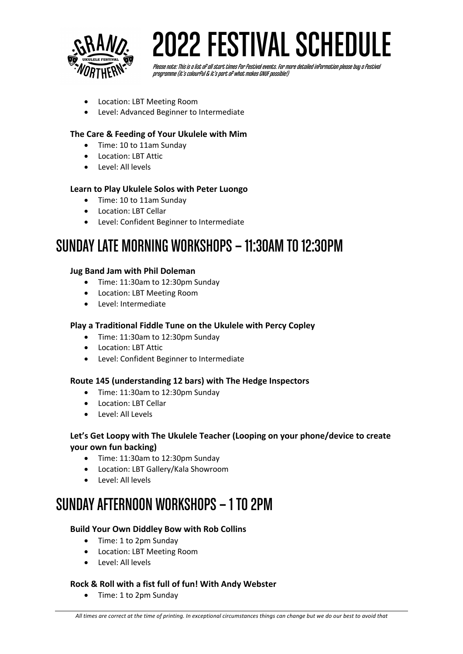

Please note: This is a list of all start times for festival events. For more detailed information please buy a festival<br>programme (it's colourful & it's part of what makes GNUF possible!)

- Location: LBT Meeting Room
- Level: Advanced Beginner to Intermediate

#### **The Care & Feeding of Your Ukulele with Mim**

- Time: 10 to 11am Sunday
- Location: LBT Attic
- Level: All levels

#### **Learn to Play Ukulele Solos with Peter Luongo**

- Time: 10 to 11am Sunday
- Location: LBT Cellar
- Level: Confident Beginner to Intermediate

### SUNDAY LATE MORNING WORKSHOPS –11:30AM TO 12:30PM

#### **Jug Band Jam with Phil Doleman**

- Time: 11:30am to 12:30pm Sunday
- Location: LBT Meeting Room
- Level: Intermediate

#### **Play a Traditional Fiddle Tune on the Ukulele with Percy Copley**

- Time: 11:30am to 12:30pm Sunday
- Location: LBT Attic
- Level: Confident Beginner to Intermediate

#### **Route 145 (understanding 12 bars) with The Hedge Inspectors**

- Time: 11:30am to 12:30pm Sunday
- Location: LBT Cellar
- Level: All Levels

#### **Let's Get Loopy with The Ukulele Teacher (Looping on your phone/device to create your own fun backing)**

- Time: 11:30am to 12:30pm Sunday
- Location: LBT Gallery/Kala Showroom
- Level: All levels

## SUNDAY AFTERNOON WORKSHOPS –1 TO 2PM

#### **Build Your Own Diddley Bow with Rob Collins**

- Time: 1 to 2pm Sunday
- Location: LBT Meeting Room
- Level: All levels

#### **Rock & Roll with a fist full of fun! With Andy Webster**

• Time: 1 to 2pm Sunday